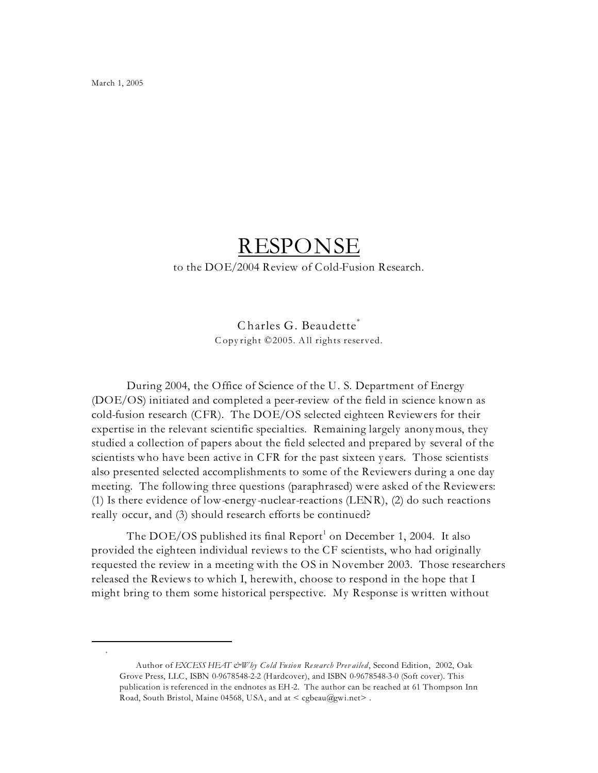March 1, 2005

\*

## RESPONSE

to the DOE/2004 Review of Cold-Fusion Research.

## Charles G. Beaudette\* C opy right © 2005. All rights reserved.

During 2004, the Office of Science of the U. S. Department of Energy (DOE/OS) initiated and completed a peer-review of the field in science known as cold-fusion research (CFR). The DOE/OS selected eighteen Reviewers for their expertise in the relevant scientific specialties. Remaining largely anonymous, they studied a collection of papers about the field selected and prepared by several of the scientists who have been active in CFR for the past sixteen y ears. Those scientists also presented selected accomplishments to some of the Reviewers during a one day meeting. The following three questions (paraphrased) were asked of the Reviewers: (1) Is there evidence of low-energy -nuclear-reactions (LENR), (2) do such reactions really occur, and (3) should research efforts be continued?

The DOE/OS published its final Report<sup>1</sup> on December 1, 2004. It also provided the eighteen individual reviews to the CF scientists, who had originally requested the review in a meeting with the OS in November 2003. Those researchers released the Reviews to which I, herewith, choose to respond in the hope that I might bring to them some historical perspective. My Response is written without

Author of *EXCESS HEAT & Why Cold Fusion Research Prev ailed*, Second Edition, 2002, Oak Grove Press, LLC, ISBN 0-9678548-2-2 (Hardcover), and ISBN 0-9678548-3-0 (Soft cover). This publication is referenced in the endnotes as EH-2. The author can be reached at 61 Thompson Inn Road, South Bristol, Maine 04568, USA, and at < cgbeau@gwi.net> .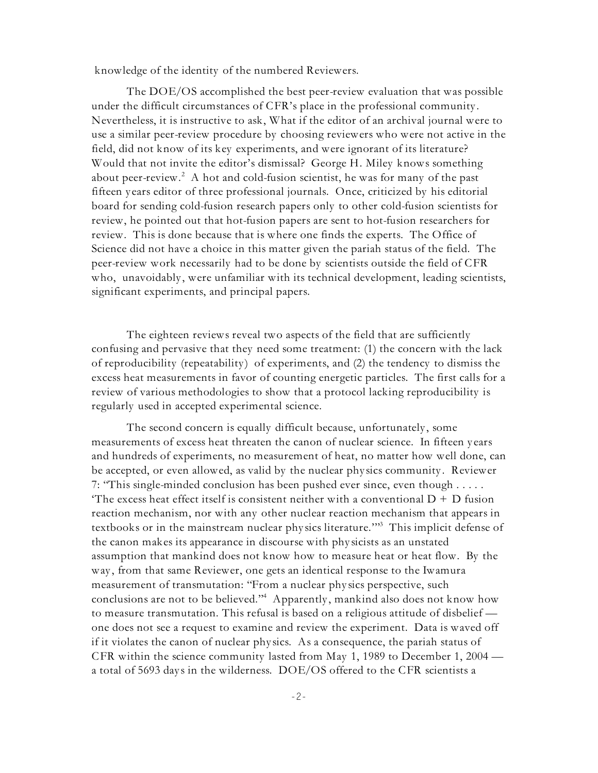knowledge of the identity of the numbered Reviewers.

The DOE/OS accomplished the best peer-review evaluation that was possible under the difficult circumstances of CFR's place in the professional community . Nevertheless, it is instructive to ask, What if the editor of an archival journal were to use a similar peer-review procedure by choosing reviewers who were not active in the field, did not know of its key experiments, and were ignorant of its literature? Would that not invite the editor's dismissal? George H. Miley knows something about peer-review.<sup>2</sup> A hot and cold-fusion scientist, he was for many of the past fifteen y ears editor of three professional journals. Once, criticized by his editorial board for sending cold-fusion research papers only to other cold-fusion scientists for review, he pointed out that hot-fusion papers are sent to hot-fusion researchers for review. This is done because that is where one finds the experts. The Office of Science did not have a choice in this matter given the pariah status of the field. The peer-review work necessarily had to be done by scientists outside the field of CFR who, unavoidably, were unfamiliar with its technical development, leading scientists, significant experiments, and principal papers.

The eighteen reviews reveal two aspects of the field that are sufficiently confusing and pervasive that they need some treatment: (1) the concern with the lack of reproducibility (repeatability ) of experiments, and (2) the tendency to dismiss the excess heat measurements in favor of counting energetic particles. The first calls for a review of various methodologies to show that a protocol lacking reproducibility is regularly used in accepted experimental science.

The second concern is equally difficult because, unfortunately, some measurements of excess heat threaten the canon of nuclear science. In fifteen y ears and hundreds of experiments, no measurement of heat, no matter how well done, can be accepted, or even allowed, as valid by the nuclear phy sics community . Reviewer 7: "This single-minded conclusion has been pushed ever since, even though . . . . . The excess heat effect itself is consistent neither with a conventional  $D + D$  fusion reaction mechanism, nor with any other nuclear reaction mechanism that appears in textbooks or in the mainstream nuclear physics literature."<sup>3</sup> This implicit defense of the canon makes its appearance in discourse with phy sicists as an unstated assumption that mankind does not know how to measure heat or heat flow. By the way , from that same Reviewer, one gets an identical response to the Iwamura measurement of transmutation: "From a nuclear phy sics perspective, such conclusions are not to be believed."<sup>4</sup> Apparently, mankind also does not know how to measure transmutation. This refusal is based on a religious attitude of disbelief one does not see a request to examine and review the experiment. Data is waved off if it violates the canon of nuclear phy sics. As a consequence, the pariah status of CFR within the science community lasted from May 1, 1989 to December 1, 2004 a total of 5693 day s in the wilderness. DOE/OS offered to the CFR scientists a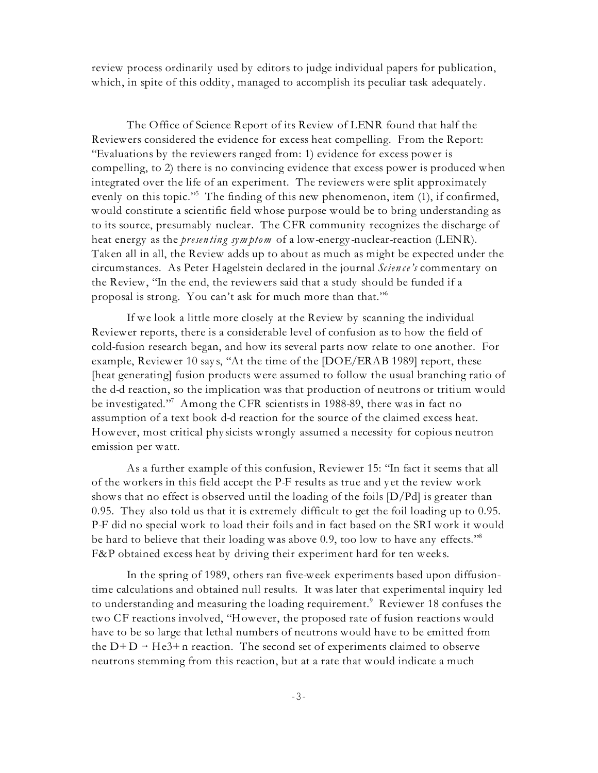review process ordinarily used by editors to judge individual papers for publication, which, in spite of this oddity, managed to accomplish its peculiar task adequately.

The Office of Science Report of its Review of LENR found that half the Reviewers considered the evidence for excess heat compelling. From the Report: "Evaluations by the reviewers ranged from: 1) evidence for excess power is compelling, to 2) there is no convincing evidence that excess power is produced when integrated over the life of an experiment. The reviewers were split approximately evenly on this topic."<sup>5</sup> The finding of this new phenomenon, item  $(1)$ , if confirmed, would constitute a scientific field whose purpose would be to bring understanding as to its source, presumably nuclear. The CFR community recognizes the discharge of heat energy as the *presen tin g sym ptom* of a low-energy -nuclear-reaction (LENR). Taken all in all, the Review adds up to about as much as might be expected under the circumstances. As Peter Hagelstein declared in the journal *Scien ce's* commentary on the Review, "In the end, the reviewers said that a study should be funded if a proposal is strong. You can't ask for much more than that." 6

If we look a little more closely at the Review by scanning the individual Reviewer reports, there is a considerable level of confusion as to how the field of cold-fusion research began, and how its several parts now relate to one another. For example, Reviewer 10 says, "At the time of the [DOE/ERAB 1989] report, these [heat generating] fusion products were assumed to follow the usual branching ratio of the d-d reaction, so the implication was that production of neutrons or tritium would be investigated."<sup>7</sup> Among the CFR scientists in 1988-89, there was in fact no assumption of a text book d-d reaction for the source of the claimed excess heat. However, most critical phy sicists wrongly assumed a necessity for copious neutron emission per watt.

As a further example of this confusion, Reviewer 15: "In fact it seems that all of the workers in this field accept the P-F results as true and y et the review work shows that no effect is observed until the loading of the foils  $[D/Pd]$  is greater than 0.95. They also told us that it is extremely difficult to get the foil loading up to 0.95. P-F did no special work to load their foils and in fact based on the SRI work it would be hard to believe that their loading was above 0.9, too low to have any effects."<sup>8</sup> F&P obtained excess heat by driving their experiment hard for ten weeks.

In the spring of 1989, others ran five-week experiments based upon diffusiontime calculations and obtained null results. It was later that experimental inquiry led to understanding and measuring the loading requirement.<sup>9</sup> Reviewer 18 confuses the two CF reactions involved, "However, the proposed rate of fusion reactions would have to be so large that lethal numbers of neutrons would have to be emitted from the  $D+D \rightarrow He3+n$  reaction. The second set of experiments claimed to observe neutrons stemming from this reaction, but at a rate that would indicate a much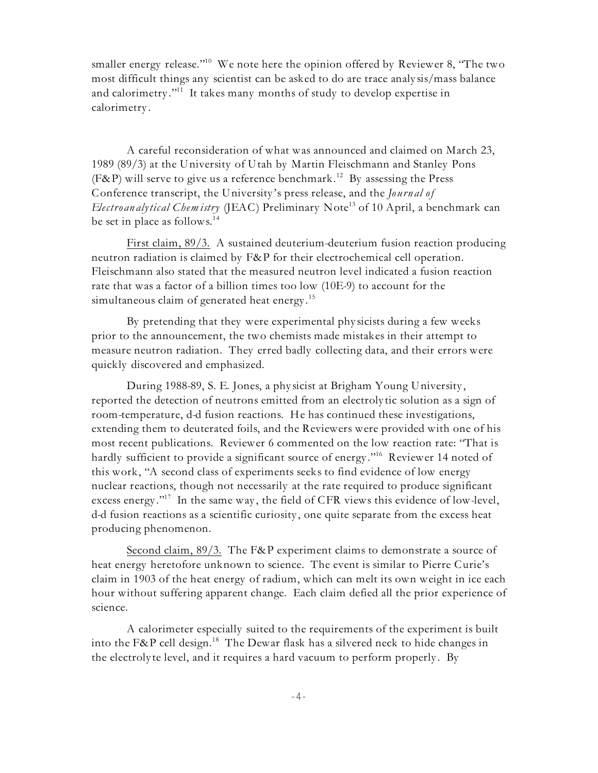smaller energy release."<sup>10</sup> We note here the opinion offered by Reviewer 8, 'The two most difficult things any scientist can be asked to do are trace analy sis/mass balance and calorimetry."<sup>11</sup> It takes many months of study to develop expertise in calorimetry .

A careful reconsideration of what was announced and claimed on March 23, 1989 (89/3) at the University of Utah by Martin Fleischmann and Stanley Pons (F&P) will serve to give us a reference benchmark.<sup>12</sup> By assessing the Press Conference transcript, the University 's press release, and the *Journ al of Electro an alytical Chemistry* (JEAC) Preliminary Note<sup>13</sup> of 10 April, a benchmark can be set in place as follows.<sup>14</sup>

First claim, 89/3. A sustained deuterium-deuterium fusion reaction producing neutron radiation is claimed by F&P for their electrochemical cell operation. Fleischmann also stated that the measured neutron level indicated a fusion reaction rate that was a factor of a billion times too low (10E-9) to account for the simultaneous claim of generated heat energy.<sup>15</sup>

By pretending that they were experimental phy sicists during a few weeks prior to the announcement, the two chemists made mistakes in their attempt to measure neutron radiation. They erred badly collecting data, and their errors were quickly discovered and emphasized.

During 1988-89, S. E. Jones, a phy sicist at Brigham Young University , reported the detection of neutrons emitted from an electroly tic solution as a sign of room-temperature, d-d fusion reactions. He has continued these investigations, extending them to deuterated foils, and the Reviewers were provided with one of his most recent publications. Reviewer 6 commented on the low reaction rate: "That is hardly sufficient to provide a significant source of energy."<sup>16</sup> Reviewer 14 noted of this work, "A second class of experiments seeks to find evidence of low energy nuclear reactions, though not necessarily at the rate required to produce significant excess energy."<sup>17</sup> In the same way, the field of CFR views this evidence of low-level, d-d fusion reactions as a scientific curiosity , one quite separate from the excess heat producing phenomenon.

Second claim, 89/3. The F&P experiment claims to demonstrate a source of heat energy heretofore unknown to science. The event is similar to Pierre Curie's claim in 1903 of the heat energy of radium, which can melt its own weight in ice each hour without suffering apparent change. Each claim defied all the prior experience of science.

A calorimeter especially suited to the requirements of the experiment is built into the F&P cell design.<sup>18</sup> The Dewar flask has a silvered neck to hide changes in the electroly te level, and it requires a hard vacuum to perform properly . By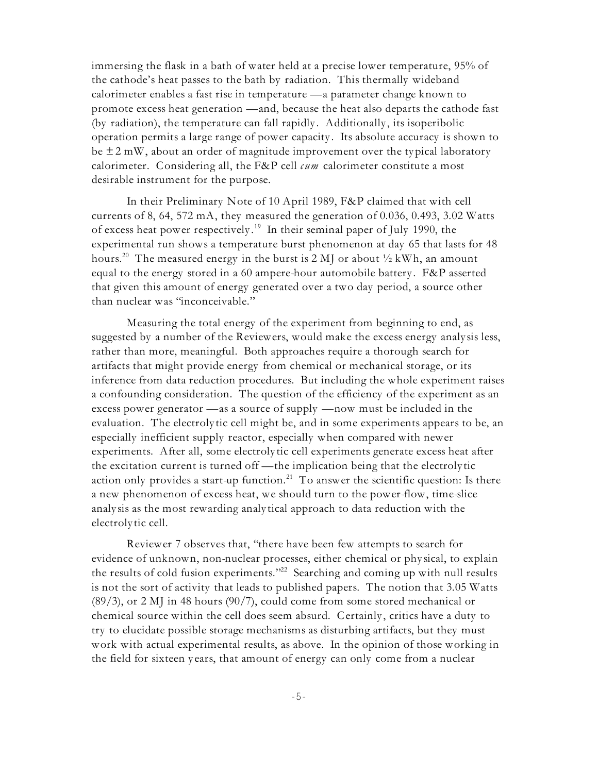immersing the flask in a bath of water held at a precise lower temperature, 95% of the cathode's heat passes to the bath by radiation. This thermally wideband calorimeter enables a fast rise in temperature — a parameter change known to promote excess heat generation — and, because the heat also departs the cathode fast (by radiation), the temperature can fall rapidly . Additionally , its isoperibolic operation permits a large range of power capacity . Its absolute accuracy is shown to be  $\pm 2$  mW, about an order of magnitude improvement over the typical laboratory calorimeter. Considering all, the F&P cell *cum* calorimeter constitute a most desirable instrument for the purpose.

In their Preliminary Note of 10 April 1989, F&P claimed that with cell currents of 8, 64, 572 mA, they measured the generation of 0.036, 0.493, 3.02 Watts of excess heat power respectively.<sup>19</sup> In their seminal paper of July 1990, the experimental run shows a temperature burst phenomenon at day 65 that lasts for 48 hours.<sup>20</sup> The measured energy in the burst is 2 MJ or about  $\frac{1}{2}$  kWh, an amount equal to the energy stored in a 60 ampere-hour automobile battery . F&P asserted that given this amount of energy generated over a two day period, a source other than nuclear was "inconceivable."

Measuring the total energy of the experiment from beginning to end, as suggested by a number of the Reviewers, would make the excess energy analy sis less, rather than more, meaningful. Both approaches require a thorough search for artifacts that might provide energy from chemical or mechanical storage, or its inference from data reduction procedures. But including the whole experiment raises a confounding consideration. The question of the efficiency of the experiment as an excess power generator — as a source of supply — now must be included in the evaluation. The electroly tic cell might be, and in some experiments appears to be, an especially inefficient supply reactor, especially when compared with newer experiments. After all, some electroly tic cell experiments generate excess heat after the excitation current is turned off — the implication being that the electroly tic action only provides a start-up function. $^{\mathrm{21}}$  To answer the scientific question: Is there a new phenomenon of excess heat, we should turn to the power-flow, time-slice analy sis as the most rewarding analy tical approach to data reduction with the electroly tic cell.

Reviewer 7 observes that, "there have been few attempts to search for evidence of unknown, non-nuclear processes, either chemical or phy sical, to explain the results of cold fusion experiments."<sup>22</sup> Searching and coming up with null results is not the sort of activity that leads to published papers. The notion that 3.05 Watts (89/3), or 2 MJ in 48 hours (90/7), could come from some stored mechanical or chemical source within the cell does seem absurd. Certainly , critics have a duty to try to elucidate possible storage mechanisms as disturbing artifacts, but they must work with actual experimental results, as above. In the opinion of those working in the field for sixteen y ears, that amount of energy can only come from a nuclear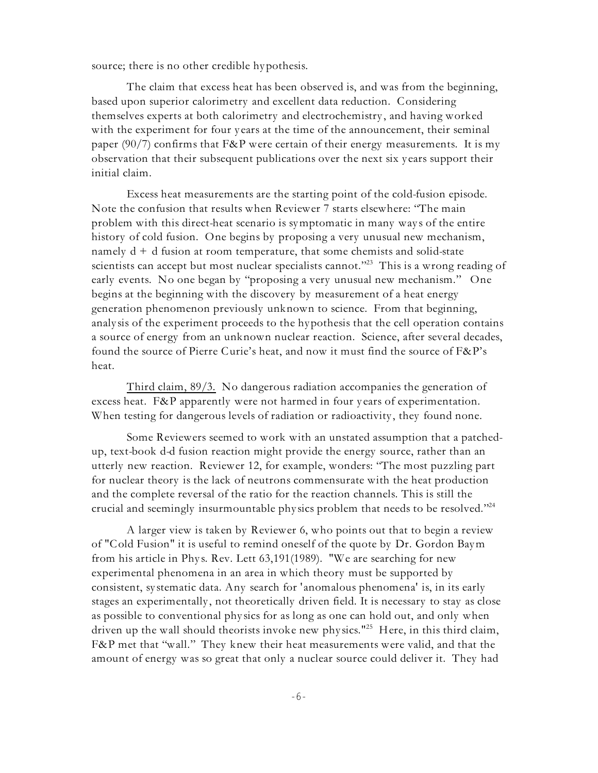source; there is no other credible hypothesis.

The claim that excess heat has been observed is, and was from the beginning, based upon superior calorimetry and excellent data reduction. Considering themselves experts at both calorimetry and electrochemistry , and having worked with the experiment for four y ears at the time of the announcement, their seminal paper (90/7) confirms that F&P were certain of their energy measurements. It is my observation that their subsequent publications over the next six y ears support their initial claim.

Excess heat measurements are the starting point of the cold-fusion episode. Note the confusion that results when Reviewer 7 starts elsewhere: "The main problem with this direct-heat scenario is symptomatic in many way s of the entire history of cold fusion. One begins by proposing a very unusual new mechanism, namely  $d + d$  fusion at room temperature, that some chemists and solid-state scientists can accept but most nuclear specialists cannot."<sup>23</sup> This is a wrong reading of early events. No one began by "proposing a very unusual new mechanism." One begins at the beginning with the discovery by measurement of a heat energy generation phenomenon previously unknown to science. From that beginning, analy sis of the experiment proceeds to the hypothesis that the cell operation contains a source of energy from an unknown nuclear reaction. Science, after several decades, found the source of Pierre Curie's heat, and now it must find the source of F&P's heat.

Third claim, 89/3. No dangerous radiation accompanies the generation of excess heat. F&P apparently were not harmed in four y ears of experimentation. When testing for dangerous levels of radiation or radioactivity , they found none.

Some Reviewers seemed to work with an unstated assumption that a patchedup, text-book d-d fusion reaction might provide the energy source, rather than an utterly new reaction. Reviewer 12, for example, wonders: "The most puzzling part for nuclear theory is the lack of neutrons commensurate with the heat production and the complete reversal of the ratio for the reaction channels. This is still the crucial and seemingly insurmountable physics problem that needs to be resolved."<sup>24</sup>

A larger view is taken by Reviewer 6, who points out that to begin a review of "Cold Fusion" it is useful to remind oneself of the quote by Dr. Gordon Baym from his article in Phys. Rev. Lett 63,191(1989). "We are searching for new experimental phenomena in an area in which theory must be supported by consistent, sy stematic data. Any search for 'anomalous phenomena' is, in its early stages an experimentally , not theoretically driven field. It is necessary to stay as close as possible to conventional phy sics for as long as one can hold out, and only when driven up the wall should theorists invoke new physics.<sup>"25</sup> Here, in this third claim, F&P met that "wall." They knew their heat measurements were valid, and that the amount of energy was so great that only a nuclear source could deliver it. They had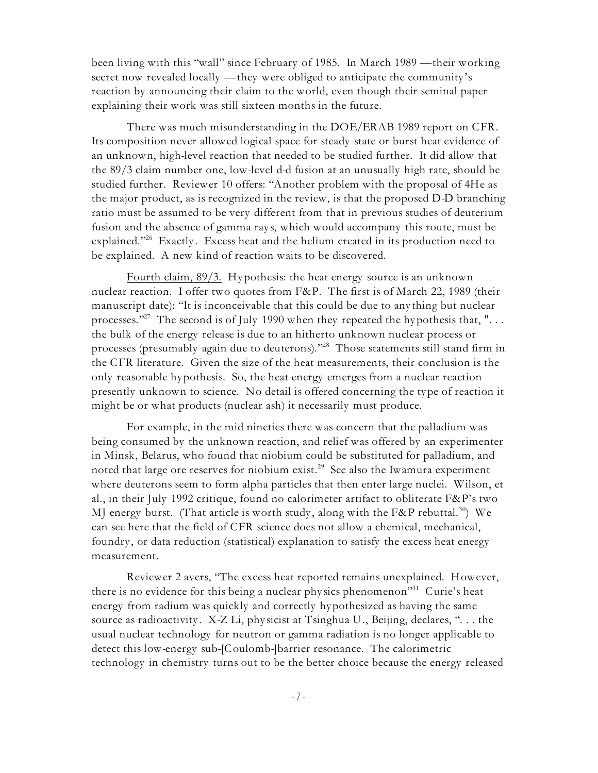been living with this "wall" since February of 1985. In March 1989 — their working secret now revealed locally — they were obliged to anticipate the community 's reaction by announcing their claim to the world, even though their seminal paper explaining their work was still sixteen months in the future.

There was much misunderstanding in the DOE/ERAB 1989 report on CFR. Its composition never allowed logical space for steady -state or burst heat evidence of an unknown, high-level reaction that needed to be studied further. It did allow that the 89/3 claim number one, low-level d-d fusion at an unusually high rate, should be studied further. Reviewer 10 offers: "Another problem with the proposal of 4He as the major product, as is recognized in the review, is that the proposed D-D branching ratio must be assumed to be very different from that in previous studies of deuterium fusion and the absence of gamma rays, which would accompany this route, must be explained."<sup>26</sup> Exactly. Excess heat and the helium created in its production need to be explained. A new kind of reaction waits to be discovered.

Fourth claim, 89/3. Hypothesis: the heat energy source is an unknown nuclear reaction. I offer two quotes from F&P. The first is of March 22, 1989 (their manuscript date): "It is inconceivable that this could be due to any thing but nuclear processes."  $^{27}$  The second is of July 1990 when they repeated the hypothesis that, ". . . the bulk of the energy release is due to an hitherto unknown nuclear process or processes (presumably again due to deuterons)."<sup>28</sup> Those statements still stand firm in the CFR literature. Given the size of the heat measurements, their conclusion is the only reasonable hypothesis. So, the heat energy emerges from a nuclear reaction presently unknown to science. No detail is offered concerning the type of reaction it might be or what products (nuclear ash) it necessarily must produce.

For example, in the mid-nineties there was concern that the palladium was being consumed by the unknown reaction, and relief was offered by an experimenter in Minsk, Belarus, who found that niobium could be substituted for palladium, and noted that large ore reserves for niobium exist.<sup>29</sup> See also the Iwamura experiment where deuterons seem to form alpha particles that then enter large nuclei. Wilson, et al., in their July 1992 critique, found no calorimeter artifact to obliterate  $F\&P$ 's two MJ energy burst. (That article is worth study, along with the F&P rebuttal. $^{30}\!)$  We can see here that the field of CFR science does not allow a chemical, mechanical, foundry , or data reduction (statistical) explanation to satisfy the excess heat energy measurement.

Reviewer 2 avers, "The excess heat reported remains unexplained. However, there is no evidence for this being a nuclear physics phenomenon<sup>331</sup> Curie's heat energy from radium was quickly and correctly hypothesized as having the same source as radioactivity. X-Z Li, phy sicist at Tsinghua U., Beijing, declares, "... the usual nuclear technology for neutron or gamma radiation is no longer applicable to detect this low-energy sub-[Coulomb-]barrier resonance. The calorimetric technology in chemistry turns out to be the better choice because the energy released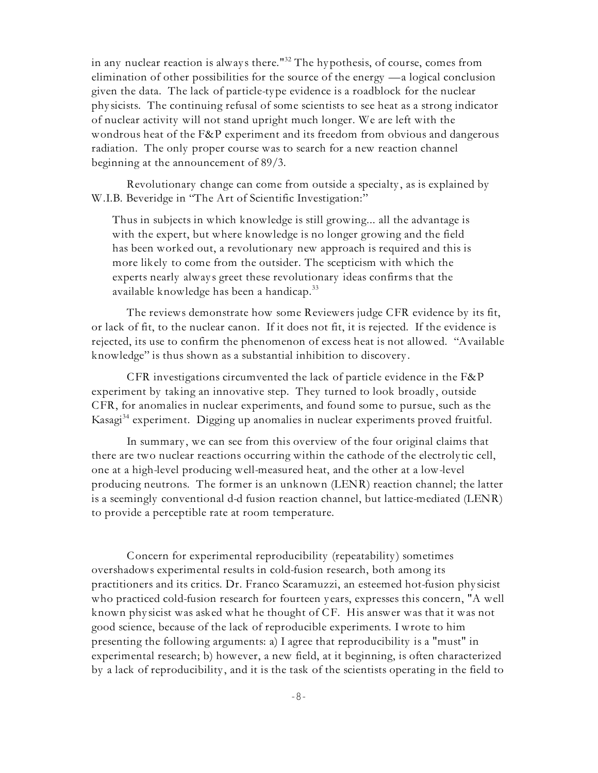in any nuclear reaction is always there." $^{32}$  The hypothesis, of course, comes from elimination of other possibilities for the source of the energy — a logical conclusion given the data. The lack of particle-type evidence is a roadblock for the nuclear phy sicists. The continuing refusal of some scientists to see heat as a strong indicator of nuclear activity will not stand upright much longer. We are left with the wondrous heat of the F&P experiment and its freedom from obvious and dangerous radiation. The only proper course was to search for a new reaction channel beginning at the announcement of 89/3.

Revolutionary change can come from outside a specialty , as is explained by W.I.B. Beveridge in "The Art of Scientific Investigation:"

Thus in subjects in which knowledge is still growing... all the advantage is with the expert, but where knowledge is no longer growing and the field has been worked out, a revolutionary new approach is required and this is more likely to come from the outsider. The scepticism with which the experts nearly alway s greet these revolutionary ideas confirms that the available knowledge has been a handicap.<sup>33</sup>

The reviews demonstrate how some Reviewers judge CFR evidence by its fit, or lack of fit, to the nuclear canon. If it does not fit, it is rejected. If the evidence is rejected, its use to confirm the phenomenon of excess heat is not allowed. "Available knowledge" is thus shown as a substantial inhibition to discovery .

CFR investigations circumvented the lack of particle evidence in the F&P experiment by taking an innovative step. They turned to look broadly , outside CFR, for anomalies in nuclear experiments, and found some to pursue, such as the Kasagi $^{34}$  experiment. Digging up anomalies in nuclear experiments proved fruitful.

In summary, we can see from this overview of the four original claims that there are two nuclear reactions occurring within the cathode of the electroly tic cell, one at a high-level producing well-measured heat, and the other at a low-level producing neutrons. The former is an unknown (LENR) reaction channel; the latter is a seemingly conventional d-d fusion reaction channel, but lattice-mediated (LENR) to provide a perceptible rate at room temperature.

Concern for experimental reproducibility (repeatability ) sometimes overshadows experimental results in cold-fusion research, both among its practitioners and its critics. Dr. Franco Scaramuzzi, an esteemed hot-fusion phy sicist who practiced cold-fusion research for fourteen y ears, expresses this concern, "A well known phy sicist was asked what he thought of CF. His answer was that it was not good science, because of the lack of reproducible experiments. I wrote to him presenting the following arguments: a) I agree that reproducibility is a "must" in experimental research; b) however, a new field, at it beginning, is often characterized by a lack of reproducibility , and it is the task of the scientists operating in the field to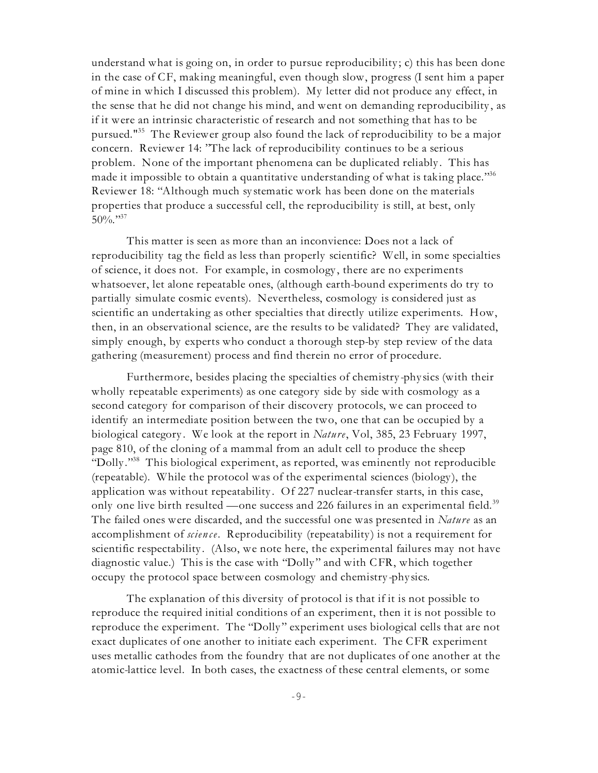understand what is going on, in order to pursue reproducibility ; c) this has been done in the case of CF, making meaningful, even though slow, progress (I sent him a paper of mine in which I discussed this problem). My letter did not produce any effect, in the sense that he did not change his mind, and went on demanding reproducibility , as if it were an intrinsic characteristic of research and not something that has to be pursued."<sup>35</sup> The Reviewer group also found the lack of reproducibility to be a major concern. Reviewer 14: "The lack of reproducibility continues to be a serious problem. None of the important phenomena can be duplicated reliably . This has made it impossible to obtain a quantitative understanding of what is taking place." $36$ Reviewer 18: "Although much sy stematic work has been done on the materials properties that produce a successful cell, the reproducibility is still, at best, only  $50\%$ . "37

This matter is seen as more than an inconvience: Does not a lack of reproducibility tag the field as less than properly scientific? Well, in some specialties of science, it does not. For example, in cosmology , there are no experiments whatsoever, let alone repeatable ones, (although earth-bound experiments do try to partially simulate cosmic events). Nevertheless, cosmology is considered just as scientific an undertaking as other specialties that directly utilize experiments. How, then, in an observational science, are the results to be validated? They are validated, simply enough, by experts who conduct a thorough step-by step review of the data gathering (measurement) process and find therein no error of procedure.

Furthermore, besides placing the specialties of chemistry -phy sics (with their wholly repeatable experiments) as one category side by side with cosmology as a second category for comparison of their discovery protocols, we can proceed to identify an intermediate position between the two, one that can be occupied by a biological category . We look at the report in *Nature*, Vol, 385, 23 February 1997, page 810, of the cloning of a mammal from an adult cell to produce the sheep "Dolly."<sup>38</sup> This biological experiment, as reported, was eminently not reproducible (repeatable). While the protocol was of the experimental sciences (biology ), the application was without repeatability . Of 227 nuclear-transfer starts, in this case, only one live birth resulted — one success and 226 failures in an experimental field.<sup>39</sup> The failed ones were discarded, and the successful one was presented in *Nature* as an accomplishment of *scien ce*. Reproducibility (repeatability ) is not a requirement for scientific respectability . (Also, we note here, the experimental failures may not have diagnostic value.) This is the case with "Dolly " and with CFR, which together occupy the protocol space between cosmology and chemistry -phy sics.

The explanation of this diversity of protocol is that if it is not possible to reproduce the required initial conditions of an experiment, then it is not possible to reproduce the experiment. The "Dolly " experiment uses biological cells that are not exact duplicates of one another to initiate each experiment. The CFR experiment uses metallic cathodes from the foundry that are not duplicates of one another at the atomic-lattice level. In both cases, the exactness of these central elements, or some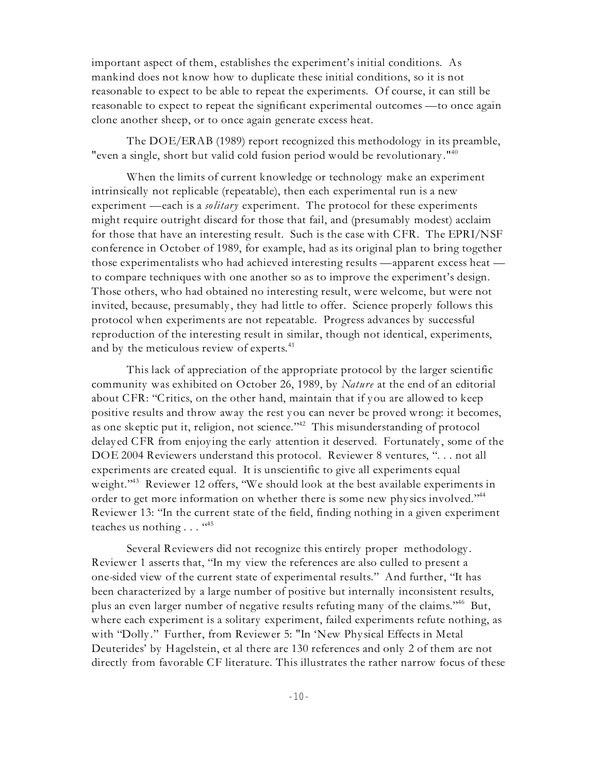important aspect of them, establishes the experiment's initial conditions. As mankind does not know how to duplicate these initial conditions, so it is not reasonable to expect to be able to repeat the experiments. Of course, it can still be reasonable to expect to repeat the significant experimental outcomes — to once again clone another sheep, or to once again generate excess heat.

The DOE/ERAB (1989) report recognized this methodology in its preamble, "even a single, short but valid cold fusion period would be revolutionary ."<sup>40</sup>

When the limits of current knowledge or technology make an experiment intrinsically not replicable (repeatable), then each experimental run is a new experiment — each is a *solitary* experiment. The protocol for these experiments might require outright discard for those that fail, and (presumably modest) acclaim for those that have an interesting result. Such is the case with CFR. The EPRI/NSF conference in October of 1989, for example, had as its original plan to bring together those experimentalists who had achieved interesting results — apparent excess heat to compare techniques with one another so as to improve the experiment's design. Those others, who had obtained no interesting result, were welcome, but were not invited, because, presumably , they had little to offer. Science properly follows this protocol when experiments are not repeatable. Progress advances by successful reproduction of the interesting result in similar, though not identical, experiments, and by the meticulous review of experts.<sup>41</sup>

This lack of appreciation of the appropriate protocol by the larger scientific community was exhibited on October 26, 1989, by *Nature* at the end of an editorial about CFR: "Critics, on the other hand, maintain that if you are allowed to keep positive results and throw away the rest you can never be proved wrong: it becomes, as one skeptic put it, religion, not science." $42$  This misunderstanding of protocol delay ed CFR from enjoying the early attention it deserved. Fortunately, some of the DOE 2004 Reviewers understand this protocol. Reviewer 8 ventures, ". . . not all experiments are created equal. It is unscientific to give all experiments equal weight."<sup>43</sup> Reviewer 12 offers, "We should look at the best available experiments in order to get more information on whether there is some new physics involved."<sup>44</sup> Reviewer 13: "In the current state of the field, finding nothing in a given experiment teaches us nothing . . . "45

Several Reviewers did not recognize this entirely proper methodology . Reviewer 1 asserts that, "In my view the references are also culled to present a one-sided view of the current state of experimental results." And further, "It has been characterized by a large number of positive but internally inconsistent results, plus an even larger number of negative results refuting many of the claims."<sup>46</sup> But, where each experiment is a solitary experiment, failed experiments refute nothing, as with "Dolly ." Further, from Reviewer 5: "In 'New Phy sical Effects in Metal Deuterides' by Hagelstein, et al there are 130 references and only 2 of them are not directly from favorable CF literature. This illustrates the rather narrow focus of these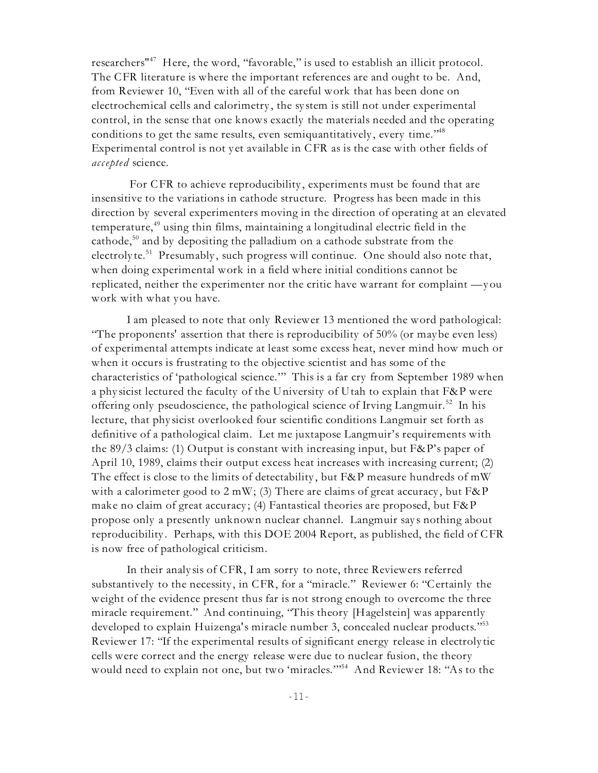researchers<sup> $n47$ </sup> Here, the word, "favorable," is used to establish an illicit protocol. The CFR literature is where the important references are and ought to be. And, from Reviewer 10, "Even with all of the careful work that has been done on electrochemical cells and calorimetry , the sy stem is still not under experimental control, in the sense that one knows exactly the materials needed and the operating conditions to get the same results, even semiquantitatively, every time."<sup>48</sup> Experimental control is not y et available in CFR as is the case with other fields of *accepted* science.

For CFR to achieve reproducibility, experiments must be found that are insensitive to the variations in cathode structure. Progress has been made in this direction by several experimenters moving in the direction of operating at an elevated temperature, $49$  using thin films, maintaining a longitudinal electric field in the cathode,  $50$  and by depositing the palladium on a cathode substrate from the electroly te.<sup>51</sup> Presumably, such progress will continue. One should also note that, when doing experimental work in a field where initial conditions cannot be replicated, neither the experimenter nor the critic have warrant for complaint — you work with what you have.

I am pleased to note that only Reviewer 13 mentioned the word pathological: "The proponents' assertion that there is reproducibility of 50% (or maybe even less) of experimental attempts indicate at least some excess heat, never mind how much or when it occurs is frustrating to the objective scientist and has some of the characteristics of 'pathological science.'" This is a far cry from September 1989 when a phy sicist lectured the faculty of the University of Utah to explain that F&P were offering only pseudoscience, the pathological science of Irving Langmuir.<sup>52</sup> In his lecture, that phy sicist overlooked four scientific conditions Langmuir set forth as definitive of a pathological claim. Let me juxtapose Langmuir's requirements with the 89/3 claims: (1) Output is constant with increasing input, but F&P's paper of April 10, 1989, claims their output excess heat increases with increasing current; (2) The effect is close to the limits of detectability, but F&P measure hundreds of mW with a calorimeter good to  $2 \text{ mW}$ ; (3) There are claims of great accuracy, but F&P make no claim of great accuracy ; (4) Fantastical theories are proposed, but F&P propose only a presently unknown nuclear channel. Langmuir says nothing about reproducibility . Perhaps, with this DOE 2004 Report, as published, the field of CFR is now free of pathological criticism.

In their analy sis of CFR, I am sorry to note, three Reviewers referred substantively to the necessity , in CFR, for a "miracle." Reviewer 6: "Certainly the weight of the evidence present thus far is not strong enough to overcome the three miracle requirement." And continuing, "This theory [Hagelstein] was apparently developed to explain Huizenga's miracle number 3, concealed nuclear products."<sup>53</sup> Reviewer 17: "If the experimental results of significant energy release in electroly tic cells were correct and the energy release were due to nuclear fusion, the theory would need to explain not one, but two 'miracles."<sup>54</sup> And Reviewer 18: "As to the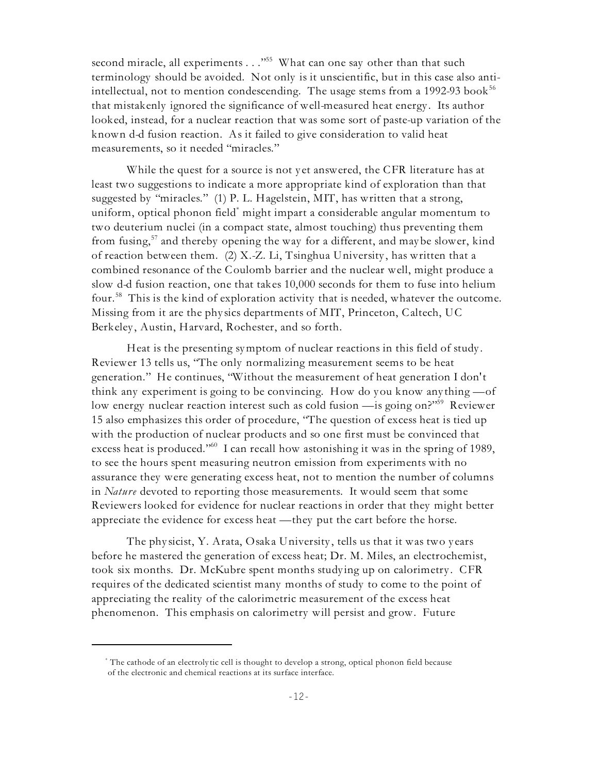second miracle, all experiments . . . "<sup>55</sup> What can one say other than that such terminology should be avoided. Not only is it unscientific, but in this case also antiintellectual, not to mention condescending. The usage stems from a 1992-93 book<sup>56</sup> that mistakenly ignored the significance of well-measured heat energy . Its author looked, instead, for a nuclear reaction that was some sort of paste-up variation of the known d-d fusion reaction. As it failed to give consideration to valid heat measurements, so it needed "miracles."

While the quest for a source is not y et answered, the CFR literature has at least two suggestions to indicate a more appropriate kind of exploration than that suggested by "miracles." (1) P. L. Hagelstein, MIT, has written that a strong, uniform, optical phonon field might impart a considerable angular momentum to two deuterium nuclei (in a compact state, almost touching) thus preventing them from fusing,  $57$  and thereby opening the way for a different, and maybe slower, kind of reaction between them. (2) X.-Z. Li, Tsinghua University, has written that a combined resonance of the Coulomb barrier and the nuclear well, might produce a slow d-d fusion reaction, one that takes 10,000 seconds for them to fuse into helium four.<sup>58</sup> This is the kind of exploration activity that is needed, whatever the outcome. Missing from it are the phy sics departments of MIT, Princeton, Caltech, UC Berkeley, Austin, Harvard, Rochester, and so forth.

Heat is the presenting symptom of nuclear reactions in this field of study . Reviewer 13 tells us, "The only normalizing measurement seems to be heat generation." He continues, "Without the measurement of heat generation I don't think any experiment is going to be convincing. How do you know any thing — of low energy nuclear reaction interest such as cold fusion — is going on?"<sup>59</sup> Reviewer 15 also emphasizes this order of procedure, "The question of excess heat is tied up with the production of nuclear products and so one first must be convinced that excess heat is produced." I can recall how astonishing it was in the spring of 1989, to see the hours spent measuring neutron emission from experiments with no assurance they were generating excess heat, not to mention the number of columns in *Nature* devoted to reporting those measurements. It would seem that some Reviewers looked for evidence for nuclear reactions in order that they might better appreciate the evidence for excess heat — they put the cart before the horse.

The physicist, Y. Arata, Osaka University, tells us that it was two years before he mastered the generation of excess heat; Dr. M. Miles, an electrochemist, took six months. Dr. McKubre spent months study ing up on calorimetry . CFR requires of the dedicated scientist many months of study to come to the point of appreciating the reality of the calorimetric measurement of the excess heat phenomenon. This emphasis on calorimetry will persist and grow. Future

The cathode of an electroly tic cell is thought to develop a strong, optical phonon field because \* of the electronic and chemical reactions at its surface interface.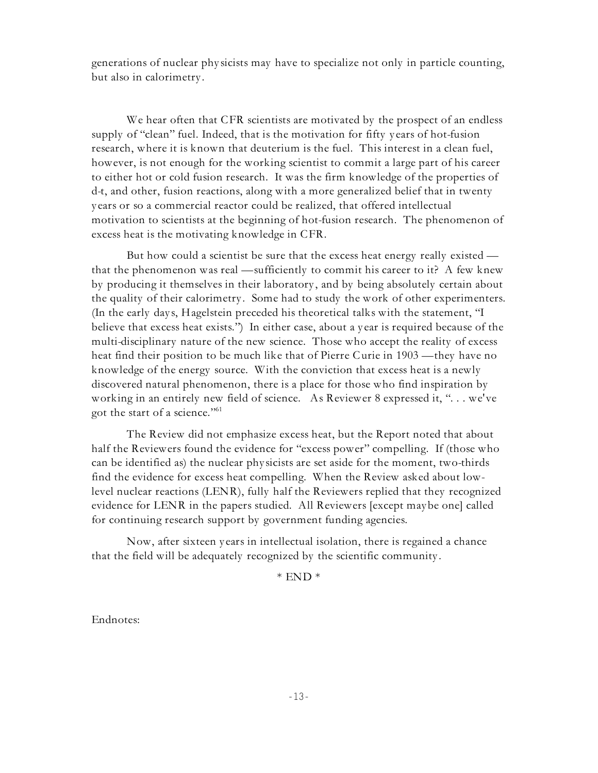generations of nuclear phy sicists may have to specialize not only in particle counting, but also in calorimetry .

We hear often that CFR scientists are motivated by the prospect of an endless supply of "clean" fuel. Indeed, that is the motivation for fifty y ears of hot-fusion research, where it is known that deuterium is the fuel. This interest in a clean fuel, however, is not enough for the working scientist to commit a large part of his career to either hot or cold fusion research. It was the firm knowledge of the properties of d-t, and other, fusion reactions, along with a more generalized belief that in twenty y ears or so a commercial reactor could be realized, that offered intellectual motivation to scientists at the beginning of hot-fusion research. The phenomenon of excess heat is the motivating knowledge in CFR.

But how could a scientist be sure that the excess heat energy really existed that the phenomenon was real — sufficiently to commit his career to it? A few knew by producing it themselves in their laboratory , and by being absolutely certain about the quality of their calorimetry . Some had to study the work of other experimenters. (In the early day s, Hagelstein preceded his theoretical talks with the statement, "I believe that excess heat exists.") In either case, about a y ear is required because of the multi-disciplinary nature of the new science. Those who accept the reality of excess heat find their position to be much like that of Pierre Curie in 1903 — they have no knowledge of the energy source. With the conviction that excess heat is a newly discovered natural phenomenon, there is a place for those who find inspiration by working in an entirely new field of science. As Reviewer 8 expressed it, ". . . we've got the start of a science."  $61$ 

The Review did not emphasize excess heat, but the Report noted that about half the Reviewers found the evidence for "excess power" compelling. If (those who can be identified as) the nuclear phy sicists are set aside for the moment, two-thirds find the evidence for excess heat compelling. When the Review asked about lowlevel nuclear reactions (LENR), fully half the Reviewers replied that they recognized evidence for LENR in the papers studied. All Reviewers [except maybe one] called for continuing research support by government funding agencies.

Now, after sixteen y ears in intellectual isolation, there is regained a chance that the field will be adequately recognized by the scientific community .

 $*$  END  $*$ 

Endnotes: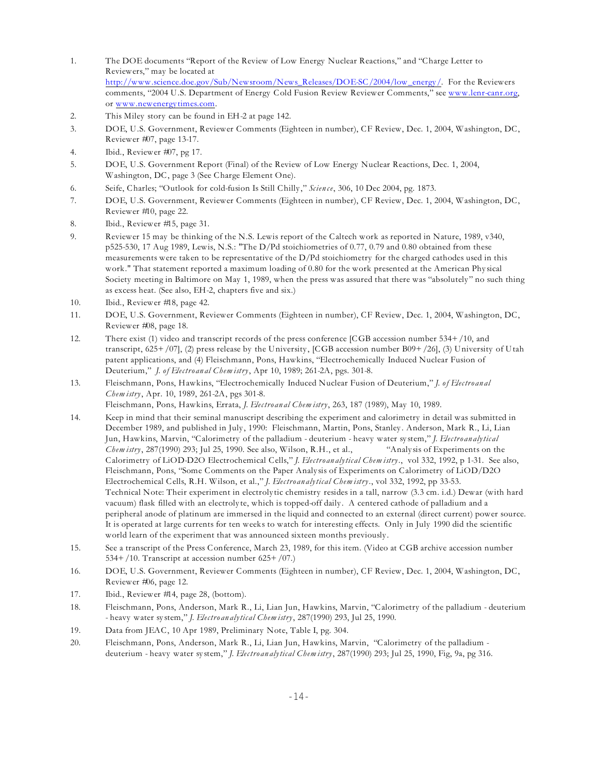- 1. The DOE documents "Report of the Review of Low Energy Nuclear Reactions," and "Charge Letter to Reviewers," may be located at [http://www.science.doe.gov/Sub/Newsroom/News\\_Releases/DOE-SC/2004/low\\_energy/](http://www.science.doe.gov/Sub/Newsroom/News_Releases/DOE-SC/2004/low_energy/). For the Reviewers comments, "2004 U.S. Department of Energy Cold Fusion Review Reviewer Comments," see [www.lenr-canr.org](http://www.lenr-canr.org), or [www.newenergy](http://www.newenergytimes.org) times.com.
- 2. This Miley story can be found in EH-2 at page 142.
- 3. DOE, U.S. Government, Reviewer Comments (Eighteen in number), CF Review, Dec. 1, 2004, Washington, DC, Reviewer #07, page 13-17.
- 4. Ibid., Reviewer #07, pg 17.
- 5. DOE, U.S. Government Report (Final) of the Review of Low Energy Nuclear Reactions, Dec. 1, 2004, Washington, DC, page 3 (See Charge Element One).
- 6. Seife, Charles; "Outlook for cold-fusion Is Still Chilly ," *Scien ce*, 306, 10 Dec 2004, pg. 1873.
- 7. DOE, U.S. Government, Reviewer Comments (Eighteen in number), CF Review, Dec. 1, 2004, Washington, DC, Reviewer #10, page 22.
- 8. Ibid., Reviewer #15, page 31.
- 9. Reviewer 15 may be thinking of the N.S. Lewis report of the Caltech work as reported in Nature, 1989, v340, p525-530, 17 Aug 1989, Lewis, N.S.: "The D/Pd stoichiometries of 0.77, 0.79 and 0.80 obtained from these measurements were taken to be representative of the D/Pd stoichiometry for the charged cathodes used in this work." That statement reported a maximum loading of 0.80 for the work presented at the American Phy sical Society meeting in Baltimore on May 1, 1989, when the press was assured that there was "absolutely " no such thing as excess heat. (See also, EH-2, chapters five and six.)
- 10. Ibid., Reviewer #18, page 42.
- 11. DOE, U.S. Government, Reviewer Comments (Eighteen in number), CF Review, Dec. 1, 2004, Washington, DC, Reviewer #08, page 18.
- 12. There exist (1) video and transcript records of the press conference [CGB accession number 534+/10, and transcript, 625+/07], (2) press release by the University , [CGB accession number B09+/26], (3) University of Utah patent applications, and (4) Fleischmann, Pons, Hawkins, "Electrochemically Induced Nuclear Fusion of Deuterium," *J. of Electro an al Chem istry*, Apr 10, 1989; 261-2A, pgs. 301-8.
- 13. Fleischmann, Pons, Hawkins, "Electrochemically Induced Nuclear Fusion of Deuterium," *J. of Electro an al Chem istry*, Apr. 10, 1989, 261-2A, pgs 301-8.

Fleischmann, Pons, Hawkins, Errata, *J. Electro an al Chem istry*, 263, 187 (1989), May 10, 1989.

- 14. Keep in mind that their seminal manuscript describing the experiment and calorimetry in detail was submitted in December 1989, and published in July , 1990: Fleischmann, Martin, Pons, Stanley . Anderson, Mark R., Li, Lian Jun, Hawkins, Marvin, "Calorimetry of the palladium - deuterium - heavy water sy stem," *J. Electro an alytic al Chem istry*, 287(1990) 293; Jul 25, 1990. See also, Wilson, R.H., et al., "Analy sis of Experiments on the Calorimetry of LiOD-D2O Electrochemical Cells," *J. Electro an alytical Chem istry*., vol 332, 1992, p 1-31. See also, Fleischmann, Pons, "Some Comments on the Paper Analy sis of Experiments on Calorimetry of LiOD/D2O Electrochemical Cells, R.H. Wilson, et al.," *J. Electro an alytical Chem istry*., vol 332, 1992, pp 33-53. Technical Note: Their experiment in electroly tic chemistry resides in a tall, narrow (3.3 cm. i.d.) Dewar (with hard vacuum) flask filled with an electroly te, which is topped-off daily . A centered cathode of palladium and a peripheral anode of platinum are immersed in the liquid and connected to an external (direct current) power source. It is operated at large currents for ten weeks to watch for interesting effects. Only in July 1990 did the scientific world learn of the experiment that was announced sixteen months previously .
- 15. See a transcript of the Press Conference, March 23, 1989, for this item. (Video at CGB archive accession number 534+/10. Transcript at accession number 625+/07.)
- 16. DOE, U.S. Government, Reviewer Comments (Eighteen in number), CF Review, Dec. 1, 2004, Washington, DC, Reviewer #06, page 12.
- 17. Ibid., Reviewer #14, page 28, (bottom).
- 18. Fleischmann, Pons, Anderson, Mark R., Li, Lian Jun, Hawkins, Marvin, "Calorimetry of the palladium deuterium - heavy water sy stem," *J. Electro an alytical Chem istry*, 287(1990) 293, Jul 25, 1990.
- 19. Data from JEAC, 10 Apr 1989, Preliminary Note, Table I, pg. 304.
- 20. Fleischmann, Pons, Anderson, Mark R., Li, Lian Jun, Hawkins, Marvin, "Calorimetry of the palladium deuterium - heavy water sy stem," *J. Electro an alytical Chem istry*, 287(1990) 293; Jul 25, 1990, Fig, 9a, pg 316.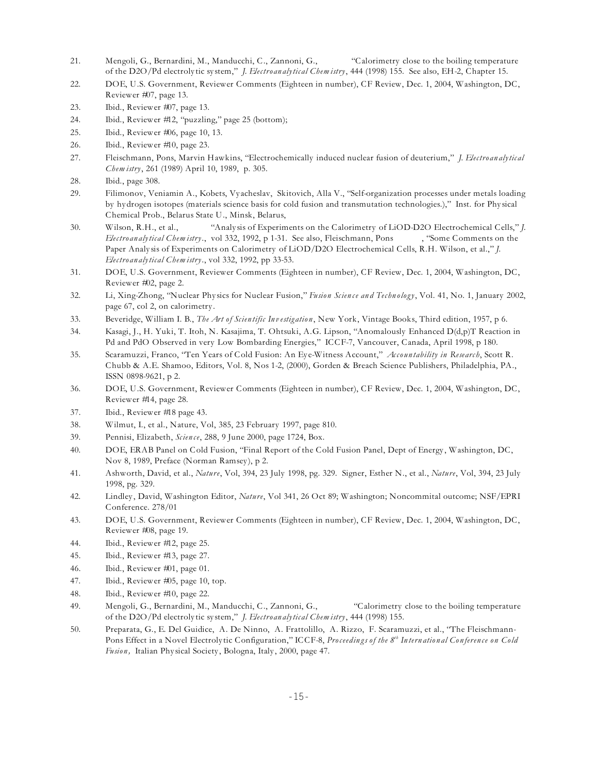- 21. Mengoli, G., Bernardini, M., Manducchi, C., Zannoni, G., "Calorimetry close to the boiling temperature of the D2O/Pd electroly tic sy stem," *J. Electro an alytical Chem istry*, 444 (1998) 155. See also, EH-2, Chapter 15.
- 22. DOE, U.S. Government, Reviewer Comments (Eighteen in number), CF Review, Dec. 1, 2004, Washington, DC, Reviewer #07, page 13.
- 23. Ibid., Reviewer #07, page 13.
- 24. Ibid., Reviewer #12, "puzzling," page 25 (bottom);
- 25. Ibid., Reviewer #06, page 10, 13.
- 26. Ibid., Reviewer #10, page 23.
- 27. Fleischmann, Pons, Marvin Hawkins, "Electrochemically induced nuclear fusion of deuterium," *J. Electro an alytic al Chem istry*, 261 (1989) April 10, 1989, p. 305.
- 28. Ibid., page 308.
- 29. Filimonov, Veniamin A., Kobets, Vy acheslav, Skitovich, Alla V., "Self-organization processes under metals loading by hydrogen isotopes (materials science basis for cold fusion and transmutation technologies.)," Inst. for Phy sical Chemical Prob., Belarus State U., Minsk, Belarus,
- 30. Wilson, R.H., et al., "Analy sis of Experiments on the Calorimetry of LiOD-D2O Electrochemical Cells," *J. Electro an alytical Chem istry*., vol 332, 1992, p 1-31. See also, Fleischmann, Pons , "Some Comments on the Paper Analy sis of Experiments on Calorimetry of LiOD/D2O Electrochemical Cells, R.H. Wilson, et al.," *J. Electro an alytical Chem istry*., vol 332, 1992, pp 33-53.
- 31. DOE, U.S. Government, Reviewer Comments (Eighteen in number), CF Review, Dec. 1, 2004, Washington, DC, Reviewer #02, page 2.
- 32. Li, Xing-Zhong, "Nuclear Phy sics for Nuclear Fusion," *Fusion Scien ce an d Techn ology*, Vol. 41, No. 1, January 2002, page 67, col 2, on calorimetry .
- 33. Beveridge, William I. B., *The Art of Scien tific In vestigation* , New York, Vintage Books, Third edition, 1957, p 6.
- 34. Kasagi, J., H. Yuki, T. Itoh, N. Kasajima, T. Ohtsuki, A.G. Lipson, "Anomalously Enhanced D(d,p)T Reaction in Pd and PdO Observed in very Low Bombarding Energies," ICCF-7, Vancouver, Canada, April 1998, p 180.
- 35. Scaramuzzi, Franco, "Ten Years of Cold Fusion: An Ey e-Witness Account," *Accoun tability in Research*, Scott R. Chubb & A.E. Shamoo, Editors, Vol. 8, Nos 1-2, (2000), Gorden & Breach Science Publishers, Philadelphia, PA., ISSN 0898-9621, p 2.
- 36. DOE, U.S. Government, Reviewer Comments (Eighteen in number), CF Review, Dec. 1, 2004, Washington, DC, Reviewer #14, page 28.
- 37. Ibid., Reviewer #18 page 43.
- 38. Wilmut, I., et al., Nature, Vol, 385, 23 February 1997, page 810.
- 39. Pennisi, Elizabeth, *Scien ce*, 288, 9 June 2000, page 1724, Box.
- 40. DOE, ERAB Panel on Cold Fusion, "Final Report of the Cold Fusion Panel, Dept of Energy , Washington, DC, Nov 8, 1989, Preface (Norman Ramsey), p 2.
- 41. Ashworth, David, et al., *Nature*, Vol, 394, 23 July 1998, pg. 329. Signer, Esther N., et al., *Nature*, Vol, 394, 23 July 1998, pg. 329.
- 42. Lindley , David, Washington Editor, *Nature*, Vol 341, 26 Oct 89; Washington; Noncommital outcome; NSF/EPRI Conference. 278/01
- 43. DOE, U.S. Government, Reviewer Comments (Eighteen in number), CF Review, Dec. 1, 2004, Washington, DC, Reviewer #08, page 19.
- 44. Ibid., Reviewer #12, page 25.
- 45. Ibid., Reviewer #13, page 27.
- 46. Ibid., Reviewer #01, page 01.
- 47. Ibid., Reviewer #05, page 10, top.
- 48. Ibid., Reviewer #10, page 22.
- 49. Mengoli, G., Bernardini, M., Manducchi, C., Zannoni, G., "Calorimetry close to the boiling temperature of the D2O/Pd electroly tic sy stem," *J. Electro an alytical Chem istry*, 444 (1998) 155.
- 50. Preparata, G., E. Del Guidice, A. De Ninno, A. Frattolillo, A. Rizzo, F. Scaramuzzi, et al., "The Fleischmann-Pons Effect in a Novel Electrolytic Configuration," ICCF-8, *Proceedings of the 8<sup>th</sup> International Conference on Cold Fusion ,* Italian Phy sical Society , Bologna, Italy , 2000, page 47.